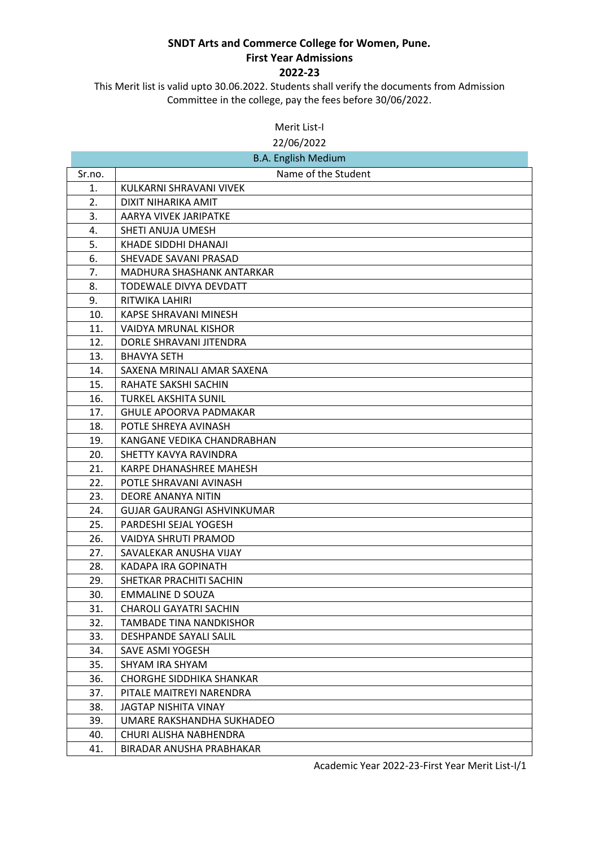This Merit list is valid upto 30.06.2022. Students shall verify the documents from Admission Committee in the college, pay the fees before 30/06/2022.

Merit List-I

22/06/2022

| <b>B.A. English Medium</b> |                                   |
|----------------------------|-----------------------------------|
| Sr.no.                     | Name of the Student               |
| 1.                         | KULKARNI SHRAVANI VIVEK           |
| 2.                         | DIXIT NIHARIKA AMIT               |
| 3.                         | AARYA VIVEK JARIPATKE             |
| 4.                         | SHETI ANUJA UMESH                 |
| 5.                         | KHADE SIDDHI DHANAJI              |
| 6.                         | SHEVADE SAVANI PRASAD             |
| 7.                         | MADHURA SHASHANK ANTARKAR         |
| 8.                         | TODEWALE DIVYA DEVDATT            |
| 9.                         | RITWIKA LAHIRI                    |
| 10.                        | <b>KAPSE SHRAVANI MINESH</b>      |
| 11.                        | VAIDYA MRUNAL KISHOR              |
| 12.                        | DORLE SHRAVANI JITENDRA           |
| 13.                        | <b>BHAVYA SETH</b>                |
| 14.                        | SAXENA MRINALI AMAR SAXENA        |
| 15.                        | RAHATE SAKSHI SACHIN              |
| 16.                        | <b>TURKEL AKSHITA SUNIL</b>       |
| 17.                        | <b>GHULE APOORVA PADMAKAR</b>     |
| 18.                        | POTLE SHREYA AVINASH              |
| 19.                        | KANGANE VEDIKA CHANDRABHAN        |
| 20.                        | SHETTY KAVYA RAVINDRA             |
| 21.                        | KARPE DHANASHREE MAHESH           |
| 22.                        | POTLE SHRAVANI AVINASH            |
| 23.                        | <b>DEORE ANANYA NITIN</b>         |
| 24.                        | <b>GUJAR GAURANGI ASHVINKUMAR</b> |
| 25.                        | PARDESHI SEJAL YOGESH             |
| 26.                        | VAIDYA SHRUTI PRAMOD              |
| 27.                        | SAVALEKAR ANUSHA VIJAY            |
| 28.                        | KADAPA IRA GOPINATH               |
| 29.                        | SHETKAR PRACHITI SACHIN           |
| 30.                        | <b>EMMALINE D SOUZA</b>           |
| 31.                        | <b>CHAROLI GAYATRI SACHIN</b>     |
| 32.                        | <b>TAMBADE TINA NANDKISHOR</b>    |
| 33.                        | DESHPANDE SAYALI SALIL            |
| 34.                        | SAVE ASMI YOGESH                  |
| 35.                        | SHYAM IRA SHYAM                   |
| 36.                        | <b>CHORGHE SIDDHIKA SHANKAR</b>   |
| 37.                        | PITALE MAITREYI NARENDRA          |
| 38.                        | <b>JAGTAP NISHITA VINAY</b>       |
| 39.                        | UMARE RAKSHANDHA SUKHADEO         |
| 40.                        | CHURI ALISHA NABHENDRA            |
| 41.                        | BIRADAR ANUSHA PRABHAKAR          |

Academic Year 2022-23-First Year Merit List-I/1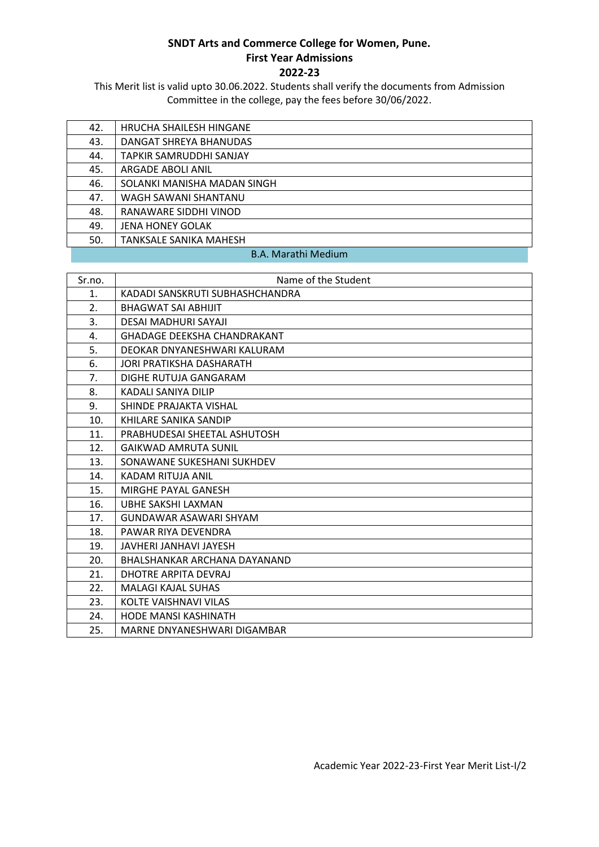This Merit list is valid upto 30.06.2022. Students shall verify the documents from Admission Committee in the college, pay the fees before 30/06/2022.

| 42.                                                                                                                                                                                                                                                                                                                                | HRUCHA SHAILESH HINGANE     |
|------------------------------------------------------------------------------------------------------------------------------------------------------------------------------------------------------------------------------------------------------------------------------------------------------------------------------------|-----------------------------|
| 43.                                                                                                                                                                                                                                                                                                                                | DANGAT SHREYA BHANUDAS      |
| 44.                                                                                                                                                                                                                                                                                                                                | TAPKIR SAMRUDDHI SANJAY     |
| 45.                                                                                                                                                                                                                                                                                                                                | ARGADE ABOLI ANIL           |
| 46.                                                                                                                                                                                                                                                                                                                                | SOLANKI MANISHA MADAN SINGH |
| 47.                                                                                                                                                                                                                                                                                                                                | WAGH SAWANI SHANTANU        |
| 48.                                                                                                                                                                                                                                                                                                                                | RANAWARE SIDDHI VINOD       |
| 49.                                                                                                                                                                                                                                                                                                                                | <b>JENA HONEY GOLAK</b>     |
| 50.                                                                                                                                                                                                                                                                                                                                | TANKSALE SANIKA MAHESH      |
| $\mathbf{D}$ $\mathbf{A}$ $\mathbf{A}$ $\mathbf{A}$ $\mathbf{A}$ $\mathbf{A}$ $\mathbf{A}$ $\mathbf{A}$ $\mathbf{A}$ $\mathbf{A}$ $\mathbf{A}$ $\mathbf{A}$ $\mathbf{A}$ $\mathbf{A}$ $\mathbf{A}$ $\mathbf{A}$ $\mathbf{A}$ $\mathbf{A}$ $\mathbf{A}$ $\mathbf{A}$ $\mathbf{A}$ $\mathbf{A}$ $\mathbf{A}$ $\mathbf{A}$ $\mathbf{$ |                             |

#### B.A. Marathi Medium

| Sr.no. | Name of the Student                |
|--------|------------------------------------|
| 1.     | KADADI SANSKRUTI SUBHASHCHANDRA    |
| 2.     | <b>BHAGWAT SAI ABHIJIT</b>         |
| 3.     | DESAI MADHURI SAYAJI               |
| 4.     | <b>GHADAGE DEEKSHA CHANDRAKANT</b> |
| 5.     | DEOKAR DNYANESHWARI KALURAM        |
| 6.     | JORI PRATIKSHA DASHARATH           |
| 7.     | DIGHE RUTUJA GANGARAM              |
| 8.     | KADALI SANIYA DILIP                |
| 9.     | SHINDE PRAJAKTA VISHAL             |
| 10.    | KHILARE SANIKA SANDIP              |
| 11.    | PRABHUDESAI SHEETAL ASHUTOSH       |
| 12.    | <b>GAIKWAD AMRUTA SUNIL</b>        |
| 13.    | SONAWANE SUKESHANI SUKHDEV         |
| 14.    | KADAM RITUJA ANIL                  |
| 15.    | MIRGHE PAYAL GANESH                |
| 16.    | UBHE SAKSHI LAXMAN                 |
| 17.    | GUNDAWAR ASAWARI SHYAM             |
| 18.    | PAWAR RIYA DEVENDRA                |
| 19.    | JAVHERI JANHAVI JAYESH             |
| 20.    | BHALSHANKAR ARCHANA DAYANAND       |
| 21.    | DHOTRE ARPITA DEVRAJ               |
| 22.    | <b>MALAGI KAJAL SUHAS</b>          |
| 23.    | KOLTE VAISHNAVI VILAS              |
| 24.    | <b>HODE MANSI KASHINATH</b>        |
| 25.    | MARNE DNYANESHWARI DIGAMBAR        |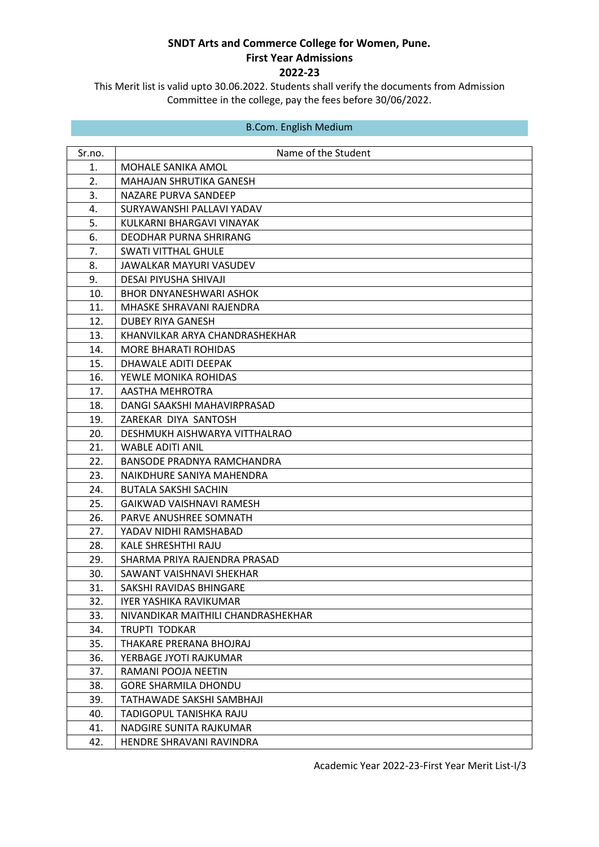This Merit list is valid upto 30.06.2022. Students shall verify the documents from Admission Committee in the college, pay the fees before 30/06/2022.

### B.Com. English Medium

| Sr.no. | Name of the Student                |
|--------|------------------------------------|
| 1.     | MOHALE SANIKA AMOL                 |
| 2.     | MAHAJAN SHRUTIKA GANESH            |
| 3.     | NAZARE PURVA SANDEEP               |
| 4.     | SURYAWANSHI PALLAVI YADAV          |
| 5.     | KULKARNI BHARGAVI VINAYAK          |
| 6.     | DEODHAR PURNA SHRIRANG             |
| 7.     | <b>SWATI VITTHAL GHULE</b>         |
| 8.     | JAWALKAR MAYURI VASUDEV            |
| 9.     | <b>DESAI PIYUSHA SHIVAJI</b>       |
| 10.    | <b>BHOR DNYANESHWARI ASHOK</b>     |
| 11.    | MHASKE SHRAVANI RAJENDRA           |
| 12.    | DUBEY RIYA GANESH                  |
| 13.    | KHANVILKAR ARYA CHANDRASHEKHAR     |
| 14.    | <b>MORE BHARATI ROHIDAS</b>        |
| 15.    | DHAWALE ADITI DEEPAK               |
| 16.    | YEWLE MONIKA ROHIDAS               |
| 17.    | AASTHA MEHROTRA                    |
| 18.    | DANGI SAAKSHI MAHAVIRPRASAD        |
| 19.    | ZAREKAR DIYA SANTOSH               |
| 20.    | DESHMUKH AISHWARYA VITTHALRAO      |
| 21.    | <b>WABLE ADITI ANIL</b>            |
| 22.    | BANSODE PRADNYA RAMCHANDRA         |
| 23.    | NAIKDHURE SANIYA MAHENDRA          |
| 24.    | <b>BUTALA SAKSHI SACHIN</b>        |
| 25.    | GAIKWAD VAISHNAVI RAMESH           |
| 26.    | PARVE ANUSHREE SOMNATH             |
| 27.    | YADAV NIDHI RAMSHABAD              |
| 28.    | KALE SHRESHTHI RAJU                |
| 29.    | SHARMA PRIYA RAJENDRA PRASAD       |
| 30.    | SAWANT VAISHNAVI SHEKHAR           |
| 31.    | SAKSHI RAVIDAS BHINGARE            |
| 32.    | <b>IYER YASHIKA RAVIKUMAR</b>      |
| 33.    | NIVANDIKAR MAITHILI CHANDRASHEKHAR |
| 34.    | <b>TRUPTI TODKAR</b>               |
| 35.    | THAKARE PRERANA BHOJRAJ            |
| 36.    | YERBAGE JYOTI RAJKUMAR             |
| 37.    | RAMANI POOJA NEETIN                |
| 38.    | <b>GORE SHARMILA DHONDU</b>        |
| 39.    | TATHAWADE SAKSHI SAMBHAJI          |
| 40.    | TADIGOPUL TANISHKA RAJU            |
| 41.    | NADGIRE SUNITA RAJKUMAR            |
| 42.    | HENDRE SHRAVANI RAVINDRA           |

Academic Year 2022-23-First Year Merit List-I/3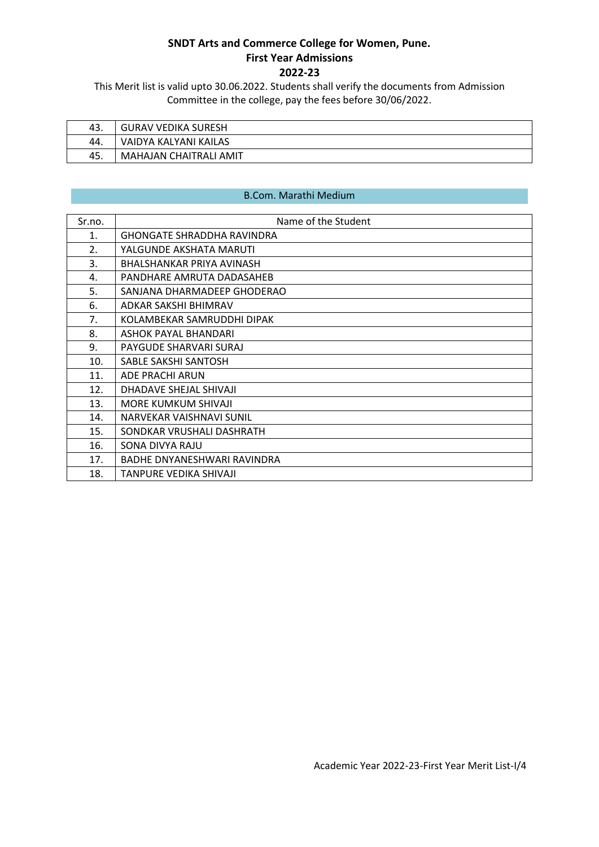This Merit list is valid upto 30.06.2022. Students shall verify the documents from Admission Committee in the college, pay the fees before 30/06/2022.

| 43. | <b>GURAV VEDIKA SURESH</b> |
|-----|----------------------------|
| 44. | VAIDYA KALYANI KAILAS      |
| 45. | MAHAJAN CHAITRALI AMIT     |

### B.Com. Marathi Medium

| Sr.no.           | Name of the Student               |
|------------------|-----------------------------------|
| 1.               | <b>GHONGATE SHRADDHA RAVINDRA</b> |
| $\overline{2}$ . | YALGUNDE AKSHATA MARUTI           |
| 3.               | BHALSHANKAR PRIYA AVINASH         |
| 4.               | PANDHARE AMRUTA DADASAHEB         |
| 5.               | SANJANA DHARMADEEP GHODERAO       |
| 6.               | ADKAR SAKSHI BHIMRAV              |
| 7.               | KOLAMBEKAR SAMRUDDHI DIPAK        |
| 8.               | ASHOK PAYAL BHANDARI              |
| 9.               | PAYGUDE SHARVARI SURAJ            |
| 10.              | SABLE SAKSHI SANTOSH              |
| 11.              | ADE PRACHI ARUN                   |
| 12.              | DHADAVE SHEJAL SHIVAJI            |
| 13.              | <b>MORE KUMKUM SHIVAJI</b>        |
| 14.              | NARVEKAR VAISHNAVI SUNIL          |
| 15.              | SONDKAR VRUSHALI DASHRATH         |
| 16.              | SONA DIVYA RAJU                   |
| 17.              | BADHE DNYANESHWARI RAVINDRA       |
| 18.              | TANPURE VEDIKA SHIVAJI            |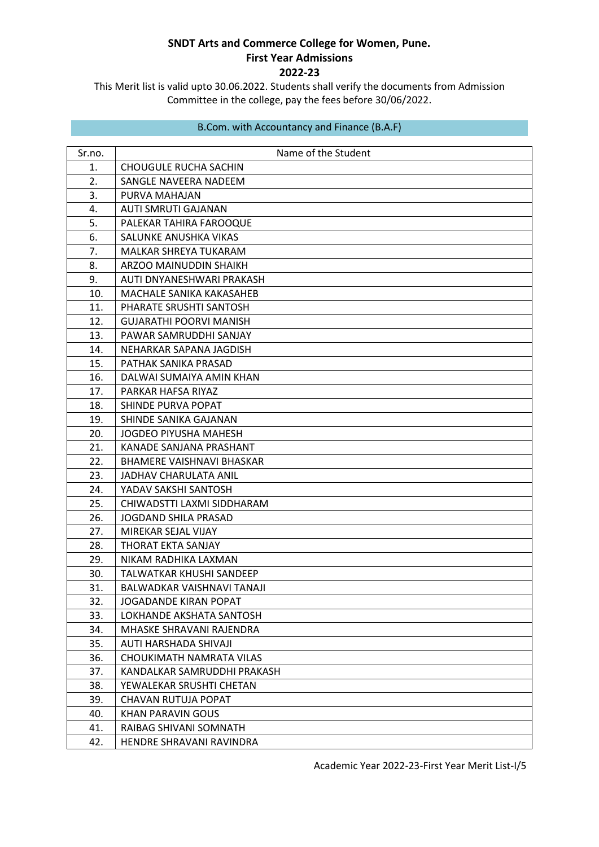This Merit list is valid upto 30.06.2022. Students shall verify the documents from Admission Committee in the college, pay the fees before 30/06/2022.

| B.Com. with Accountancy and Finance (B.A.F) |  |  |
|---------------------------------------------|--|--|
|---------------------------------------------|--|--|

| Sr.no. | Name of the Student              |
|--------|----------------------------------|
| 1.     | CHOUGULE RUCHA SACHIN            |
| 2.     | SANGLE NAVEERA NADEEM            |
| 3.     | PURVA MAHAJAN                    |
| 4.     | <b>AUTI SMRUTI GAJANAN</b>       |
| 5.     | PALEKAR TAHIRA FAROOQUE          |
| 6.     | SALUNKE ANUSHKA VIKAS            |
| 7.     | MALKAR SHREYA TUKARAM            |
| 8.     | ARZOO MAINUDDIN SHAIKH           |
| 9.     | AUTI DNYANESHWARI PRAKASH        |
| 10.    | MACHALE SANIKA KAKASAHEB         |
| 11.    | PHARATE SRUSHTI SANTOSH          |
| 12.    | <b>GUJARATHI POORVI MANISH</b>   |
| 13.    | PAWAR SAMRUDDHI SANJAY           |
| 14.    | NEHARKAR SAPANA JAGDISH          |
| 15.    | PATHAK SANIKA PRASAD             |
| 16.    | DALWAI SUMAIYA AMIN KHAN         |
| 17.    | PARKAR HAFSA RIYAZ               |
| 18.    | SHINDE PURVA POPAT               |
| 19.    | SHINDE SANIKA GAJANAN            |
| 20.    | JOGDEO PIYUSHA MAHESH            |
| 21.    | KANADE SANJANA PRASHANT          |
| 22.    | <b>BHAMERE VAISHNAVI BHASKAR</b> |
| 23.    | <b>JADHAV CHARULATA ANIL</b>     |
| 24.    | YADAV SAKSHI SANTOSH             |
| 25.    | CHIWADSTTI LAXMI SIDDHARAM       |
| 26.    | JOGDAND SHILA PRASAD             |
| 27.    | MIREKAR SEJAL VIJAY              |
| 28.    | THORAT EKTA SANJAY               |
| 29.    | NIKAM RADHIKA LAXMAN             |
| 30.    | TALWATKAR KHUSHI SANDEEP         |
| 31.    | BALWADKAR VAISHNAVI TANAJI       |
| 32.    | <b>JOGADANDE KIRAN POPAT</b>     |
| 33.    | LOKHANDE AKSHATA SANTOSH         |
| 34.    | MHASKE SHRAVANI RAJENDRA         |
| 35.    | AUTI HARSHADA SHIVAJI            |
| 36.    | CHOUKIMATH NAMRATA VILAS         |
| 37.    | KANDALKAR SAMRUDDHI PRAKASH      |
| 38.    | YEWALEKAR SRUSHTI CHETAN         |
| 39.    | CHAVAN RUTUJA POPAT              |
| 40.    | <b>KHAN PARAVIN GOUS</b>         |
| 41.    | RAIBAG SHIVANI SOMNATH           |
| 42.    | HENDRE SHRAVANI RAVINDRA         |

Academic Year 2022-23-First Year Merit List-I/5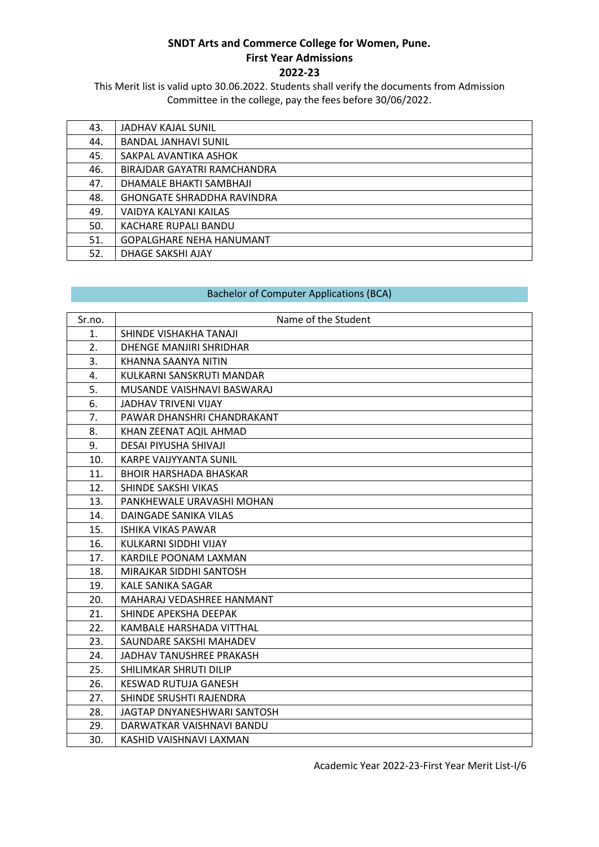This Merit list is valid upto 30.06.2022. Students shall verify the documents from Admission Committee in the college, pay the fees before 30/06/2022.

| 43. | JADHAV KAJAL SUNIL                |
|-----|-----------------------------------|
| 44. | <b>BANDAL JANHAVI SUNIL</b>       |
| 45. | SAKPAL AVANTIKA ASHOK             |
| 46. | BIRAJDAR GAYATRI RAMCHANDRA       |
| 47. | DHAMALE BHAKTI SAMBHAJI           |
| 48. | <b>GHONGATE SHRADDHA RAVINDRA</b> |
| 49. | VAIDYA KALYANI KAILAS             |
| 50. | KACHARE RUPALI BANDU              |
| 51. | <b>GOPALGHARE NEHA HANUMANT</b>   |
| 52. | DHAGE SAKSHI AJAY                 |

#### Bachelor of Computer Applications (BCA)

| Sr.no. | Name of the Student            |
|--------|--------------------------------|
| 1.     | SHINDE VISHAKHA TANAJI         |
| 2.     | <b>DHENGE MANJIRI SHRIDHAR</b> |
| 3.     | KHANNA SAANYA NITIN            |
| 4.     | KULKARNI SANSKRUTI MANDAR      |
| 5.     | MUSANDE VAISHNAVI BASWARAJ     |
| 6.     | <b>JADHAV TRIVENI VIJAY</b>    |
| 7.     | PAWAR DHANSHRI CHANDRAKANT     |
| 8.     | KHAN ZEENAT AQIL AHMAD         |
| 9.     | DESAI PIYUSHA SHIVAJI          |
| 10.    | <b>KARPE VAIJYYANTA SUNIL</b>  |
| 11.    | <b>BHOIR HARSHADA BHASKAR</b>  |
| 12.    | SHINDE SAKSHI VIKAS            |
| 13.    | PANKHEWALE URAVASHI MOHAN      |
| 14.    | DAINGADE SANIKA VILAS          |
| 15.    | <b>ISHIKA VIKAS PAWAR</b>      |
| 16.    | KULKARNI SIDDHI VIJAY          |
| 17.    | KARDILE POONAM LAXMAN          |
| 18.    | MIRAJKAR SIDDHI SANTOSH        |
| 19.    | KALE SANIKA SAGAR              |
| 20.    | MAHARAJ VEDASHREE HANMANT      |
| 21.    | SHINDE APEKSHA DEEPAK          |
| 22.    | KAMBALE HARSHADA VITTHAL       |
| 23.    | SAUNDARE SAKSHI MAHADEV        |
| 24.    | JADHAV TANUSHREE PRAKASH       |
| 25.    | SHILIMKAR SHRUTI DILIP         |
| 26.    | KESWAD RUTUJA GANESH           |
| 27.    | SHINDE SRUSHTI RAJENDRA        |
| 28.    | JAGTAP DNYANESHWARI SANTOSH    |
| 29.    | DARWATKAR VAISHNAVI BANDU      |
| 30.    | KASHID VAISHNAVI LAXMAN        |